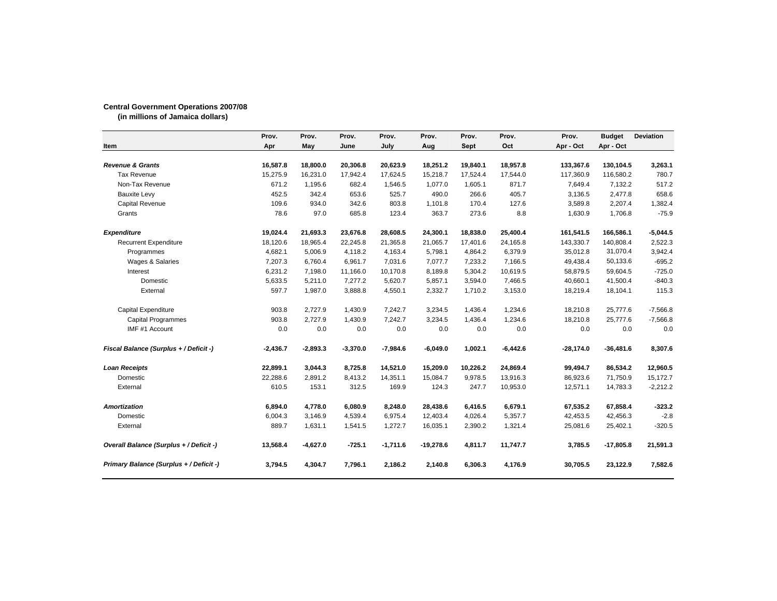## **Central Government Operations 2007/08**

**(in millions of Jamaica dollars)**

| Item                                    | Prov.<br>Apr | Prov.<br>May | Prov.<br>June | Prov.<br>July | Prov.<br>Aug | Prov.<br><b>Sept</b> | Prov.<br>Oct | Prov.<br>Apr - Oct | <b>Budget</b><br>Apr - Oct | <b>Deviation</b> |
|-----------------------------------------|--------------|--------------|---------------|---------------|--------------|----------------------|--------------|--------------------|----------------------------|------------------|
|                                         |              |              |               |               |              |                      |              |                    |                            |                  |
| <b>Revenue &amp; Grants</b>             | 16,587.8     | 18,800.0     | 20,306.8      | 20,623.9      | 18,251.2     | 19,840.1             | 18,957.8     | 133,367.6          | 130,104.5                  | 3,263.1          |
| <b>Tax Revenue</b>                      | 15,275.9     | 16,231.0     | 17,942.4      | 17,624.5      | 15.218.7     | 17,524.4             | 17,544.0     | 117,360.9          | 116,580.2                  | 780.7            |
| Non-Tax Revenue                         | 671.2        | 1,195.6      | 682.4         | 1,546.5       | 1,077.0      | 1,605.1              | 871.7        | 7,649.4            | 7,132.2                    | 517.2            |
| <b>Bauxite Levy</b>                     | 452.5        | 342.4        | 653.6         | 525.7         | 490.0        | 266.6                | 405.7        | 3,136.5            | 2,477.8                    | 658.6            |
| Capital Revenue                         | 109.6        | 934.0        | 342.6         | 803.8         | 1,101.8      | 170.4                | 127.6        | 3,589.8            | 2,207.4                    | 1,382.4          |
| Grants                                  | 78.6         | 97.0         | 685.8         | 123.4         | 363.7        | 273.6                | 8.8          | 1,630.9            | 1,706.8                    | $-75.9$          |
| <b>Expenditure</b>                      | 19,024.4     | 21,693.3     | 23,676.8      | 28,608.5      | 24,300.1     | 18,838.0             | 25,400.4     | 161,541.5          | 166,586.1                  | $-5,044.5$       |
| <b>Recurrent Expenditure</b>            | 18,120.6     | 18,965.4     | 22,245.8      | 21,365.8      | 21,065.7     | 17,401.6             | 24,165.8     | 143,330.7          | 140,808.4                  | 2,522.3          |
| Programmes                              | 4,682.1      | 5,006.9      | 4,118.2       | 4,163.4       | 5,798.1      | 4,864.2              | 6,379.9      | 35,012.8           | 31,070.4                   | 3,942.4          |
| Wages & Salaries                        | 7,207.3      | 6,760.4      | 6,961.7       | 7,031.6       | 7,077.7      | 7,233.2              | 7,166.5      | 49,438.4           | 50,133.6                   | $-695.2$         |
| Interest                                | 6,231.2      | 7,198.0      | 11,166.0      | 10,170.8      | 8,189.8      | 5,304.2              | 10,619.5     | 58,879.5           | 59,604.5                   | $-725.0$         |
| Domestic                                | 5,633.5      | 5,211.0      | 7,277.2       | 5,620.7       | 5,857.1      | 3,594.0              | 7,466.5      | 40,660.1           | 41,500.4                   | $-840.3$         |
| External                                | 597.7        | 1,987.0      | 3,888.8       | 4,550.1       | 2,332.7      | 1,710.2              | 3,153.0      | 18,219.4           | 18,104.1                   | 115.3            |
| Capital Expenditure                     | 903.8        | 2,727.9      | 1,430.9       | 7,242.7       | 3,234.5      | 1,436.4              | 1,234.6      | 18,210.8           | 25,777.6                   | $-7,566.8$       |
| <b>Capital Programmes</b>               | 903.8        | 2,727.9      | 1,430.9       | 7,242.7       | 3,234.5      | 1,436.4              | 1,234.6      | 18,210.8           | 25,777.6                   | $-7,566.8$       |
| IMF #1 Account                          | 0.0          | 0.0          | 0.0           | 0.0           | 0.0          | 0.0                  | 0.0          | 0.0                | 0.0                        | 0.0              |
| Fiscal Balance (Surplus + / Deficit -)  | $-2,436.7$   | $-2,893.3$   | $-3,370.0$    | $-7,984.6$    | $-6,049.0$   | 1,002.1              | $-6,442.6$   | $-28,174.0$        | $-36,481.6$                | 8,307.6          |
| <b>Loan Receipts</b>                    | 22,899.1     | 3,044.3      | 8,725.8       | 14,521.0      | 15,209.0     | 10,226.2             | 24,869.4     | 99,494.7           | 86,534.2                   | 12,960.5         |
| Domestic                                | 22,288.6     | 2,891.2      | 8,413.2       | 14,351.1      | 15,084.7     | 9,978.5              | 13,916.3     | 86,923.6           | 71,750.9                   | 15,172.7         |
| External                                | 610.5        | 153.1        | 312.5         | 169.9         | 124.3        | 247.7                | 10,953.0     | 12,571.1           | 14,783.3                   | $-2,212.2$       |
| <b>Amortization</b>                     | 6.894.0      | 4,778.0      | 6,080.9       | 8,248.0       | 28,438.6     | 6,416.5              | 6,679.1      | 67,535.2           | 67,858.4                   | $-323.2$         |
| Domestic                                | 6,004.3      | 3,146.9      | 4,539.4       | 6,975.4       | 12,403.4     | 4,026.4              | 5,357.7      | 42,453.5           | 42,456.3                   | $-2.8$           |
| External                                | 889.7        | 1,631.1      | 1,541.5       | 1,272.7       | 16,035.1     | 2,390.2              | 1,321.4      | 25,081.6           | 25,402.1                   | $-320.5$         |
| Overall Balance (Surplus + / Deficit -) | 13,568.4     | $-4,627.0$   | $-725.1$      | $-1,711.6$    | $-19,278.6$  | 4,811.7              | 11,747.7     | 3,785.5            | $-17,805.8$                | 21,591.3         |
| Primary Balance (Surplus + / Deficit -) | 3,794.5      | 4,304.7      | 7,796.1       | 2,186.2       | 2,140.8      | 6,306.3              | 4,176.9      | 30,705.5           | 23,122.9                   | 7,582.6          |